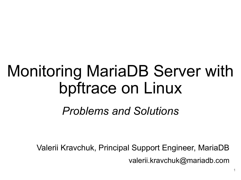# Monitoring MariaDB Server with bpftrace on Linux

### *Problems and Solutions*

Valerii Kravchuk, Principal Support Engineer, MariaDB valerii.kravchuk@mariadb.com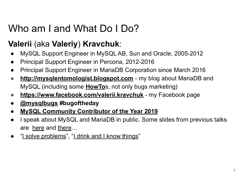### Who am I and What Do I Do?

#### **Valerii** (aka **Valeriy**) **Kravchuk**:

- MySQL Support Engineer in MySQL AB, Sun and Oracle, 2005-2012
- Principal Support Engineer in Percona, 2012-2016
- Principal Support Engineer in MariaDB Corporation since March 2016
- **<http://mysqlentomologist.blogspot.com>** my blog about MariaDB and MySQL (including some **[HowTo](http://mysqlentomologist.blogspot.com/search/label/howto)**s, not only bugs marketing)
- **<https://www.facebook.com/valerii.kravchuk>** my Facebook page
- **[@mysqlbugs](https://twitter.com/mysqlbugs) #bugoftheday**
- **[MySQL Community Contributor of the Year 2019](https://www.percona.com/blog/2019/05/29/mysql-community-awards-at-percona-live-2019/)**
- I speak about MySQL and MariaDB in public. Some slides from previous talks are [here](https://www.slideshare.net/valeriikravchuk1) and there...
- "[I solve problems"](http://mysqlentomologist.blogspot.com/2016/01/im-winston-wolf-i-solve-problems.html), "[I drink and I know things"](https://youtu.be/GYh7smM6YpM)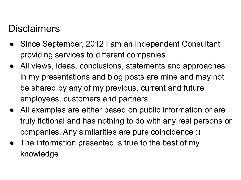#### **Disclaimers**

- Since September, 2012 I am an Independent Consultant providing services to different companies
- All views, ideas, conclusions, statements and approaches in my presentations and blog posts are mine and may not be shared by any of my previous, current and future employees, customers and partners
- All examples are either based on public information or are truly fictional and has nothing to do with any real persons or companies. Any similarities are pure coincidence :)
- The information presented is true to the best of my knowledge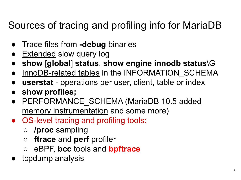### Sources of tracing and profiling info for MariaDB

- Trace files from **-debug** binaries
- **[Extended](https://www.percona.com/doc/percona-server/LATEST/diagnostics/slow_extended.html) slow query log**
- **● show** [**global**] **status**, **show engine innodb status**\G
- [InnoDB-related tables](https://mariadb.com/kb/en/library/information-schema-innodb-tables/) in the INFORMATION SCHEMA
- [userstat](https://mariadb.com/kb/en/user-statistics/) operations per user, client, table or index
- **show profiles;**
- PERFORMANCE\_SCHEMA (MariaDB 10.5 [added](https://mariadb.com/kb/en/changes-improvements-in-mariadb-105/#performance-schema-updates-to-match-mysql-57-instrumentation-and-tables) [memory instrumentation](https://mariadb.com/kb/en/changes-improvements-in-mariadb-105/#performance-schema-updates-to-match-mysql-57-instrumentation-and-tables) and some more)
- OS-level tracing and profiling tools:
	- **/proc** sampling
	- **ftrace** and **perf** profiler
	- eBPF, **bcc** tools and **bpftrace**
- [tcpdump analysis](https://vividcortex.com/blog/2014/02/25/performance-schema-slowquery-log-tcp-sniffing/)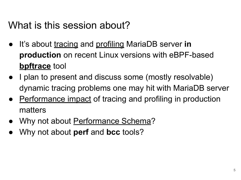#### What is this session about?

- It's about [tracing](https://en.wikipedia.org/wiki/Tracing_(software)) and [profiling](https://en.wikipedia.org/wiki/Profiling_(computer_programming)) MariaDB server in **production** on recent Linux versions with eBPF-based **[bpftrace](https://github.com/iovisor/bpftrace)** tool
- I plan to present and discuss some (mostly resolvable) dynamic tracing problems one may hit with MariaDB server
- [Performance impact](https://www.slideshare.net/ValeriyKravchuk/applying-profilers-to-my-sql-fosdem-2017) of tracing and profiling in production matters
- Why not about [Performance Schema](https://mariadb.com/kb/en/performance-schema-overview/)?
- Why not about **perf** and **bcc** tools?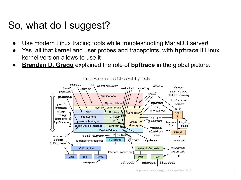#### So, what do I suggest?

- Use modern Linux tracing tools while troubleshooting MariaDB server!
- Yes, all that kernel and user probes and tracepoints, with **bpftrace** if Linux kernel version allows to use it
- **[Brendan D. Gregg](http://www.brendangregg.com/)** explained the role of **bpftrace** in the global picture:

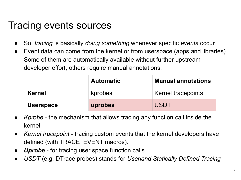#### Tracing events sources

- So, *tracing* is basically *doing something* whenever specific *events* occur
- Event data can come from the kernel or from userspace (apps and libraries). Some of them are automatically available without further upstream developer effort, others require manual annotations:

|                  | <b>Automatic</b> | <b>Manual annotations</b> |
|------------------|------------------|---------------------------|
| <b>Kernel</b>    | kprobes          | Kernel tracepoints        |
| <b>Userspace</b> | uprobes          | <b>USDT</b>               |

- *Kprobe* the mechanism that allows tracing any function call inside the kernel
- *Kernel tracepoint* tracing custom events that the kernel developers have defined (with TRACE\_EVENT macros).
- *Uprobe* for tracing user space function calls
- *USDT* (e.g. DTrace probes) stands for *Userland Statically Defined Tracing*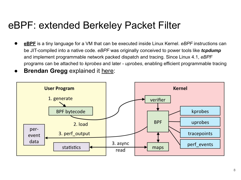#### eBPF: extended Berkeley Packet Filter

- **[eBPF](https://lwn.net/Articles/740157/)** is a tiny language for a VM that can be executed inside Linux Kernel. *eBPF* instructions can be JIT-compiled into a native code. *eBPF* was originally conceived to power tools like *tcpdump* and implement programmable network packed dispatch and tracing. Since Linux 4.1, *eBPF* programs can be attached to *kprobes* and later - *uprobes*, enabling efficient programmable tracing
- **Brendan Gregg** explained it [here](http://www.brendangregg.com/ebpf.html):

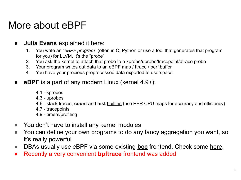#### More about eBPF

#### **Julia Evans** explained it [here](https://jvns.ca/blog/2017/07/05/linux-tracing-systems/#ebpf):

- 1. You write an "*eBPF program*" (often in C, Python or use a tool that generates that program for you) for LLVM. It's the "probe".
- 2. You ask the kernel to attach that probe to a kprobe/uprobe/tracepoint/dtrace probe
- 3. Your program writes out data to an eBPF map / ftrace / perf buffer
- 4. You have your precious preprocessed data exported to userspace!

#### **[eBPF](https://ebpf.io/)** is a part of any modern Linux (kernel 4.9+):

- 4.1 kprobes
- 4.3 uprobes
- 4.6 stack traces, **count** and **hist** [builtins](https://github.com/iovisor/bpftrace/blob/master/docs/reference_guide.md#1-builtins-2) (use PER CPU maps for accuracy and efficiency)
- 4.7 tracepoints
- 4.9 timers/profiling
- You don't have to install any kernel modules
- You can define your own programs to do any fancy aggregation you want, so it's really powerful
- DBAs usually use eBPF via some existing **[bcc](https://github.com/iovisor/bcc)** frontend. Check some <u>here</u>.
- Recently a very convenient **bpftrace** frontend was added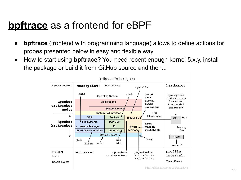#### **[bpftrace](https://github.com/iovisor/bpftrace)** as a frontend for eBPF

- **[bpftrace](https://www.mankier.com/8/bpftrace)** (frontend with [programming language\)](https://github.com/iovisor/bpftrace/blob/master/docs/reference_guide.md) allows to define actions for probes presented below in <u>easy and flexible way</u>
- How to start using **bpftrace**? You need recent enough kernel 5.x.y, install the package or build it from GitHub source and then...

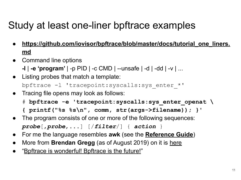### Study at least one-liner bpftrace examples

- **● [https://github.com/iovisor/bpftrace/blob/master/docs/tutorial\\_one\\_liners.](https://github.com/iovisor/bpftrace/blob/master/docs/tutorial_one_liners.md) [md](https://github.com/iovisor/bpftrace/blob/master/docs/tutorial_one_liners.md)**
- **Command line options -l** | **-e 'program'** | -p PID | -c CMD | --unsafe | -d | -dd | -v | ...
- Listing probes that match a template: bpftrace -l 'tracepoint:syscalls:sys\_enter\_\*'
- Tracing file opens may look as follows:
	- # **bpftrace -e 'tracepoint:syscalls:sys\_enter\_openat \**
	- **{ printf("%s %s\n", comm, str(args->filename)); }'**
- The program consists of one or more of the following sequences: *probe*[,*probe*,...] [/*filter*/] { *action* }
- For me the language resembles **awk** (see the **[Reference Guide](https://github.com/iovisor/bpftrace/blob/master/docs/reference_guide.md)**)
- More from **Brendan Gregg** (as of August 2019) on it is [here](https://opensource.com/article/19/8/introduction-bpftrace)
- "[Bpftrace is wonderful! Bpftrace is the future!](https://www.joyfulbikeshedding.com/blog/2019-01-31-full-system-dynamic-tracing-on-linux-using-ebpf-and-bpftrace.html#what-trace-points-are-available-what-should-i-trace)"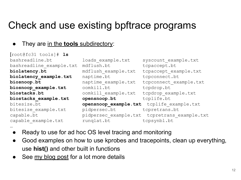#### Check and use existing bpftrace programs

#### They are in the **tools** [subdirectory](https://github.com/iovisor/bpftrace/tree/master/tools):

| $[root@fc31$ tools]# 1s  |                       |                        |
|--------------------------|-----------------------|------------------------|
| bashreadline.bt          | loads example.txt     | syscount example.txt   |
| bashreadline example.txt | mdflush.bt            | tcpaccept.bt           |
| biolatency.bt            | mdflush example.txt   | tcpaccept example.txt  |
| biolatency example.txt   | naptime.bt            | tcpconnect.bt          |
| biosnoop.bt              | naptime example.txt   | tcpconnect example.txt |
| biosnoop example.txt     | oomkill.bt            | tcpdrop.bt             |
| biostacks.bt             | oomkill example.txt   | tcpdrop example.txt    |
| biostacks example.txt    | opensnoop.bt          | tcplife.bt             |
| bitesize.bt              | opensnoop example.txt | tcplife example.txt    |
| bitesize example.txt     | pidpersec.bt          | tcpretrans.bt          |
| capable.bt               | pidpersec example.txt | tcpretrans example.txt |
| capable example.txt      | runglat.bt            | tcpsynbl.bt            |
|                          |                       |                        |

- Ready to use for ad hoc OS level tracing and monitoring
- Good examples on how to use kprobes and tracepoints, clean up everything, use **hist()** and other built in functions
- See [my blog post](https://mysqlentomologist.blogspot.com/2021/01/playing-with-recent-bpftrace-and_24.html) for a lot more details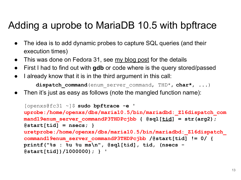#### Adding a uprobe to MariaDB 10.5 with bpftrace

- The idea is to add dynamic probes to capture SQL queries (and their execution times)
- This was done on Fedora 31, see [my blog post](https://mysqlentomologist.blogspot.com/2021/01/playing-with-recent-bpftrace-and.html) for the details
- First I had to find out with **gdb** or code where is the query stored/passed
- I already know that it is in the third argument in this call: **dispatch\_command**(enum\_server\_command, THD\*, **char\***, ...)
- Then it's just as easy as follows (note the mangled function name):

```
[openxs@fc31 ~]$ sudo bpftrace -e ' 
uprobe:/home/openxs/dbs/maria10.5/bin/mariadbd:_Z16dispatch_com
mand19enum_server_commandP3THDPcjbb { @sql[tid] = str(arg2); 
@start[tid] = nsecs; } 
uretprobe:/home/openxs/dbs/maria10.5/bin/mariadbd:_Z16dispatch_
command19enum_server_commandP3THDPcjbb /@start[tid] != 0/ { 
printf("%s : %u %u ms\n", @sql[tid], tid, (nsecs - 
@start[tid])/1000000); } '
```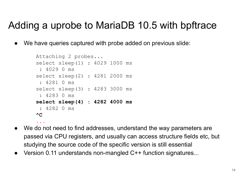#### Adding a uprobe to MariaDB 10.5 with bpftrace

We have queries captured with probe added on previous slide:

```
Attaching 2 probes...
select sleep(1) : 4029 1000 ms
  : 4029 0 ms
select sleep(2) : 4281 2000 ms
  : 4281 0 ms
select sleep(3) : 4283 3000 ms
  : 4283 0 ms
select sleep(4) : 4282 4000 ms
  : 4282 0 ms
^{\wedge}C...
```
- We do not need to find addresses, understand the way parameters are passed via CPU registers, and usually can access structure fields etc, but studying the source code of the specific version is still essential
- Version 0.11 understands non-mangled C++ function signatures...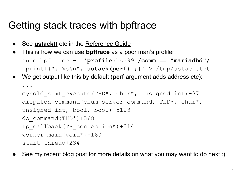#### Getting stack traces with bpftrace

- See **[ustack\(\)](https://github.com/iovisor/bpftrace/blob/master/docs/reference_guide.md#16-ustack-stack-traces-user)** etc in the [Reference Guide](https://github.com/iovisor/bpftrace/blob/master/docs/reference_guide.md)
- This is how we can use **bpftrace** as a poor man's profiler: sudo bpftrace -e '**profile**:hz:99 **/comm == "mariadbd"/** {printf("# %s\n", **ustack(perf)**);}' > /tmp/ustack.txt
- We get output like this by default (perf argument adds address etc):

```
...
mysqld stmt execute(THD*, char*, unsigned int)+37
dispatch command(enum server command, THD*, char*,
unsigned int, bool, bool)+5123
do command(FHD*)+368tp_callback(TP_connection*)+314
worker main(void*)+160start_thread+234
```
See my recent [blog post](http://mysqlentomologist.blogspot.com/2020/01/using-bpftrace-on-fedora-29-more.html) for more details on what you may want to do next :)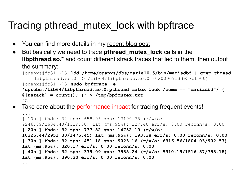#### Tracing pthread\_mutex\_lock with bpftrace

- You can find more details in my [recent blog post](https://mysqlentomologist.blogspot.com/2021/01/playing-with-recent-bpftrace-and.html)
- But basically we need to trace **pthread\_mutex\_lock** calls in the **libpthread.so.\*** and count different strack traces that led to them, then output the summary:

```
[openxs@fc31 ~]$ ldd /home/openxs/dbs/maria10.5/bin/mariadbd | grep thread
     libpthread.so.0 => /lib64/libpthread.so.0 (0x00007f3d957bf000)
[openxs@fc31 ~]$ sudo bpftrace -e 
'uprobe:/lib64/libpthread.so.0:pthread_mutex_lock /comm == "mariadbd"/ { 
\theta[ustack] = count(); } ' > /tmp/bpfmutex.txt
\wedge C
```
Take care about the performance impact for tracing frequent events!

```
...
[ 10s ] thds: 32 tps: 658.05 qps: 13199.78 (r/w/o:
9246.09/2634.40/1319.30) lat (ms,95%): 227.40 err/s: 0.00 reconn/s: 0.00
[ 20s ] thds: 32 tps: 737.82 qps: 14752.19 (r/w/o: 
10325.44/2951.30/1475.45) lat (ms,95%): 193.38 err/s: 0.00 reconn/s: 0.00
[ 30s ] thds: 32 tps: 451.18 qps: 9023.16 (r/w/o: 6316.56/1804.03/902.57) 
lat (ms,95%): 320.17 err/s: 0.00 reconn/s: 0.00
[ 40s ] thds: 32 tps: 379.09 qps: 7585.24 (r/w/o: 5310.19/1516.87/758.18) 
lat (ms,95%): 390.30 err/s: 0.00 reconn/s: 0.00
```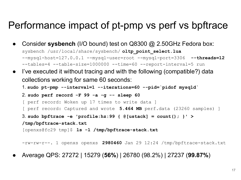#### Performance impact of pt-pmp vs perf vs bpftrace

- Consider sysbench (I/O bound) test on Q8300 @ 2.50GHz Fedora box: sysbench /usr/local/share/sysbench/ **oltp\_point\_select.lua** --mysql-host=127.0.0.1 --mysql-user=root --mysql-port=3306 **--threads=12** --tables=4 --table-size=1000000 --time=60 --report-interval=5 run
- I've executed it without tracing and with the following (compatible?) data collections working for same 60 seconds:

```
1. sudo pt-pmp --interval=1 --iterations=60 --pid=`pidof mysqld`
```

```
2. sudo perf record -F 99 -a -g -- sleep 60
```

```
[ perf record: Woken up 17 times to write data ]
```

```
[ perf record: Captured and wrote 5.464 MB perf.data (23260 samples) ]
```

```
3. sudo bpftrace -e 'profile:hz:99 { @[ustack] = count(); }' >
```

```
/tmp/bpftrace-stack.txt
```

```
[openxs@fc29 tmp]$ ls -l /tmp/bpftrace-stack.txt
```
-rw-rw-r--. 1 openxs openxs **2980460** Jan 29 12:24 /tmp/bpftrace-stack.txt

● Average QPS: 27272 | 15279 (**56%**) | 26780 (98.2%) | 27237 (**99.87%**)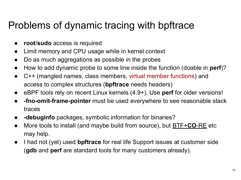#### Problems of dynamic tracing with bpftrace

- **root**/**sudo** access is required
- Limit memory and CPU usage while in kernel context
- Do as much aggregations as possible in the probes
- How to add dynamic probe to some line inside the function (doable in **perf**)?
- C++ (mangled names, class members, virtual member functions) and access to complex structures (**bpftrace** needs headers)
- eBPF tools rely on recent Linux kernels (4.9+). Use **perf** for older versions!
- **-fno-omit-frame-pointer** must be used everywhere to see reasonable stack traces
- **-debuginfo** packages, symbolic information for binaries?
- More tools to install (and maybe build from source), but **[BTF+](http://www.brendangregg.com/blog/2020-11-04/bpf-co-re-btf-libbpf.html)CO-RE** etc may help.
- I had not (yet) used **bpftrace** for real life Support issues at customer side (**gdb** and **perf** are standard tools for many customers already).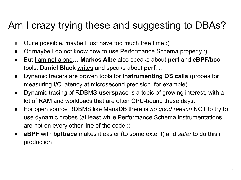#### Am I crazy trying these and suggesting to DBAs?

- Quite possible, maybe I just have too much free time :)
- Or maybe I do not know how to use Performance Schema properly :)
- But [I am not alone](https://www.percona.com/community-blog/2020/02/05/finding-mysql-scaling-problems-using-perf/)… **Markos Albe** also speaks about **perf** and **eBPF/bcc** tools, **Daniel Black** [writes](https://www.percona.com/community-blog/2020/02/05/finding-mysql-scaling-problems-using-perf/) and speaks about **perf**....
- Dynamic tracers are proven tools for **instrumenting OS calls** (probes for measuring I/O latency at microsecond precision, for example)
- Dynamic tracing of RDBMS **userspace** is a topic of growing interest, with a lot of RAM and workloads that are often CPU-bound these days.
- For open source RDBMS like MariaDB there is *no good reason* NOT to try to use dynamic probes (at least while Performance Schema instrumentations are not on every other line of the code :)
- **eBPF** with **bpftrace** makes it easier (to some extent) and *safer* to do this in production